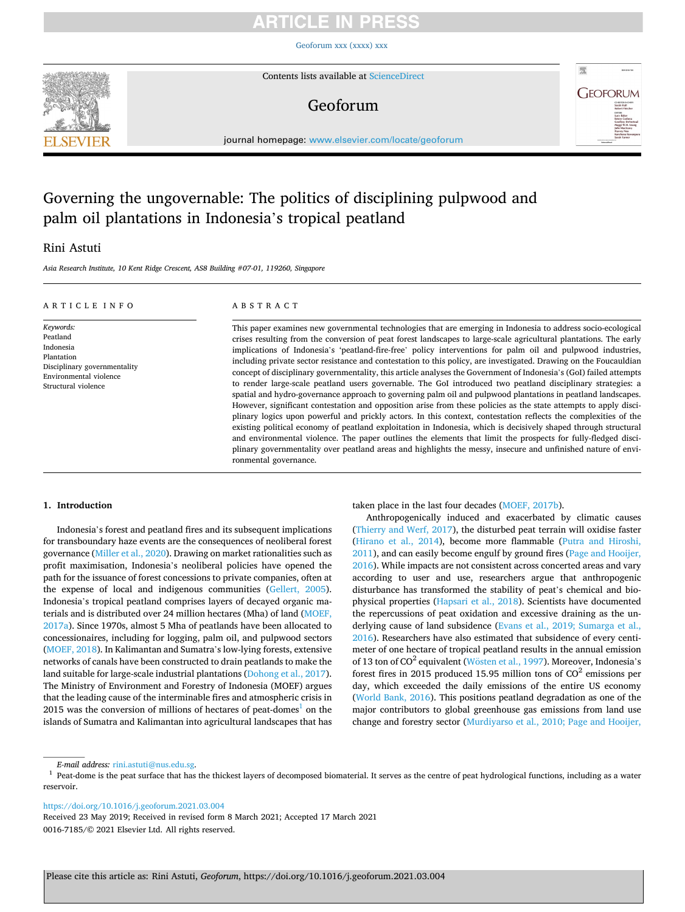# TICI E IN

[Geoforum xxx \(xxxx\) xxx](https://doi.org/10.1016/j.geoforum.2021.03.004)



Contents lists available at [ScienceDirect](www.sciencedirect.com/science/journal/00167185)

# Geoforum



journal homepage: [www.elsevier.com/locate/geoforum](https://www.elsevier.com/locate/geoforum) 

# Governing the ungovernable: The politics of disciplining pulpwood and palm oil plantations in Indonesia's tropical peatland

## Rini Astuti

*Asia Research Institute, 10 Kent Ridge Crescent, AS8 Building #07-01, 119260, Singapore* 

### ARTICLE INFO

## ABSTRACT

*Keywords:*  Peatland Indonesia Plantation Disciplinary governmentality Environmental violence Structural violence

This paper examines new governmental technologies that are emerging in Indonesia to address socio-ecological crises resulting from the conversion of peat forest landscapes to large-scale agricultural plantations. The early implications of Indonesia's 'peatland-fire-free' policy interventions for palm oil and pulpwood industries, including private sector resistance and contestation to this policy, are investigated. Drawing on the Foucauldian concept of disciplinary governmentality, this article analyses the Government of Indonesia's (GoI) failed attempts to render large-scale peatland users governable. The GoI introduced two peatland disciplinary strategies: a spatial and hydro-governance approach to governing palm oil and pulpwood plantations in peatland landscapes. However, significant contestation and opposition arise from these policies as the state attempts to apply disciplinary logics upon powerful and prickly actors. In this context, contestation reflects the complexities of the existing political economy of peatland exploitation in Indonesia, which is decisively shaped through structural and environmental violence. The paper outlines the elements that limit the prospects for fully-fledged disciplinary governmentality over peatland areas and highlights the messy, insecure and unfinished nature of environmental governance.

### **1. Introduction**

Indonesia's forest and peatland fires and its subsequent implications for transboundary haze events are the consequences of neoliberal forest governance ([Miller et al., 2020](#page-9-0)). Drawing on market rationalities such as profit maximisation, Indonesia's neoliberal policies have opened the path for the issuance of forest concessions to private companies, often at the expense of local and indigenous communities [\(Gellert, 2005](#page-9-0)). Indonesia's tropical peatland comprises layers of decayed organic materials and is distributed over 24 million hectares (Mha) of land ([MOEF,](#page-9-0)  [2017a\)](#page-9-0). Since 1970s, almost 5 Mha of peatlands have been allocated to concessionaires, including for logging, palm oil, and pulpwood sectors ([MOEF, 2018](#page-9-0)). In Kalimantan and Sumatra's low-lying forests, extensive networks of canals have been constructed to drain peatlands to make the land suitable for large-scale industrial plantations [\(Dohong et al., 2017](#page-8-0)). The Ministry of Environment and Forestry of Indonesia (MOEF) argues that the leading cause of the interminable fires and atmospheric crisis in 2015 was the conversion of millions of hectares of peat-domes<sup>1</sup> on the islands of Sumatra and Kalimantan into agricultural landscapes that has taken place in the last four decades [\(MOEF, 2017b\)](#page-9-0).

Anthropogenically induced and exacerbated by climatic causes ([Thierry and Werf, 2017\)](#page-10-0), the disturbed peat terrain will oxidise faster ([Hirano et al., 2014\)](#page-9-0), become more flammable [\(Putra and Hiroshi,](#page-9-0)  [2011\)](#page-9-0), and can easily become engulf by ground fires [\(Page and Hooijer,](#page-9-0)  [2016\)](#page-9-0). While impacts are not consistent across concerted areas and vary according to user and use, researchers argue that anthropogenic disturbance has transformed the stability of peat's chemical and biophysical properties ([Hapsari et al., 2018\)](#page-9-0). Scientists have documented the repercussions of peat oxidation and excessive draining as the underlying cause of land subsidence [\(Evans et al., 2019; Sumarga et al.,](#page-8-0)  [2016\)](#page-8-0). Researchers have also estimated that subsidence of every centimeter of one hectare of tropical peatland results in the annual emission of 13 ton of  $CO<sup>2</sup>$  equivalent (Wösten [et al., 1997\)](#page-10-0). Moreover, Indonesia's forest fires in 2015 produced 15.95 million tons of  $CO<sup>2</sup>$  emissions per day, which exceeded the daily emissions of the entire US economy ([World Bank, 2016](#page-10-0)). This positions peatland degradation as one of the major contributors to global greenhouse gas emissions from land use change and forestry sector ([Murdiyarso et al., 2010; Page and Hooijer,](#page-9-0) 

<https://doi.org/10.1016/j.geoforum.2021.03.004>

0016-7185/© 2021 Elsevier Ltd. All rights reserved. Received 23 May 2019; Received in revised form 8 March 2021; Accepted 17 March 2021

*E-mail address: [rini.astuti@nus.edu.sg.](mailto:rini.astuti@nus.edu.sg)*<br><sup>1</sup> Peat-dome is the peat surface that has the thickest layers of decomposed biomaterial. It serves as the centre of peat hydrological functions, including as a water reservoir.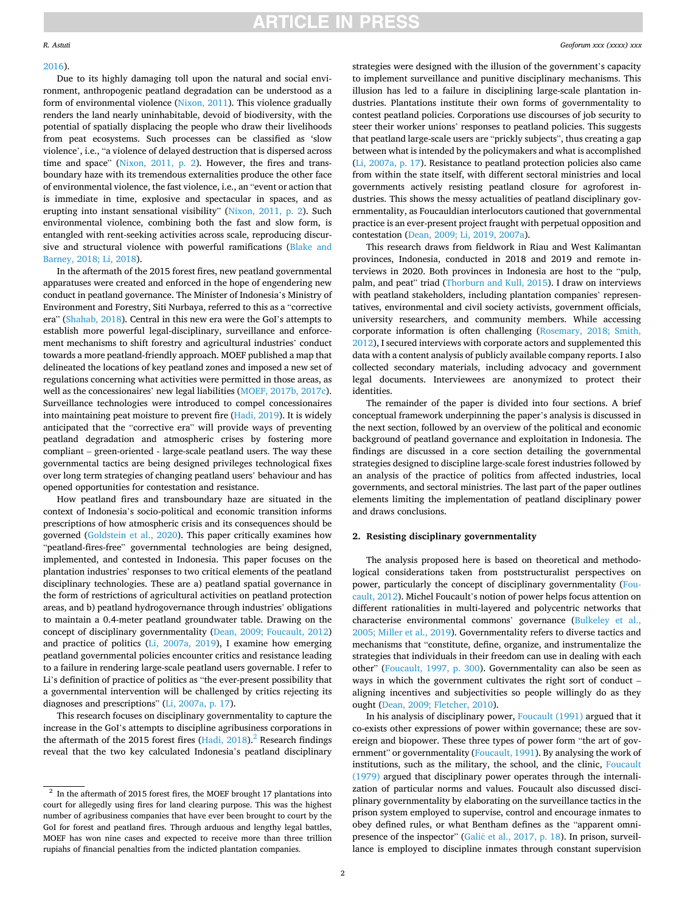## **ARTICLE IN PRESS**

## [2016\)](#page-9-0).

Due to its highly damaging toll upon the natural and social environment, anthropogenic peatland degradation can be understood as a form of environmental violence ([Nixon, 2011](#page-9-0)). This violence gradually renders the land nearly uninhabitable, devoid of biodiversity, with the potential of spatially displacing the people who draw their livelihoods from peat ecosystems. Such processes can be classified as 'slow violence', i.e., "a violence of delayed destruction that is dispersed across time and space" [\(Nixon, 2011, p. 2](#page-9-0)). However, the fires and transboundary haze with its tremendous externalities produce the other face of environmental violence, the fast violence, i.e., an "event or action that is immediate in time, explosive and spectacular in spaces, and as erupting into instant sensational visibility" ([Nixon, 2011, p. 2](#page-9-0)). Such environmental violence, combining both the fast and slow form, is entangled with rent-seeking activities across scale, reproducing discursive and structural violence with powerful ramifications [\(Blake and](#page-8-0)  [Barney, 2018; Li, 2018\)](#page-8-0).

In the aftermath of the 2015 forest fires, new peatland governmental apparatuses were created and enforced in the hope of engendering new conduct in peatland governance. The Minister of Indonesia's Ministry of Environment and Forestry, Siti Nurbaya, referred to this as a "corrective era" [\(Shahab, 2018\)](#page-9-0). Central in this new era were the GoI's attempts to establish more powerful legal-disciplinary, surveillance and enforcement mechanisms to shift forestry and agricultural industries' conduct towards a more peatland-friendly approach. MOEF published a map that delineated the locations of key peatland zones and imposed a new set of regulations concerning what activities were permitted in those areas, as well as the concessionaires' new legal liabilities [\(MOEF, 2017b, 2017c](#page-9-0)). Surveillance technologies were introduced to compel concessionaires into maintaining peat moisture to prevent fire ([Hadi, 2019\)](#page-9-0). It is widely anticipated that the "corrective era" will provide ways of preventing peatland degradation and atmospheric crises by fostering more compliant – green-oriented - large-scale peatland users. The way these governmental tactics are being designed privileges technological fixes over long term strategies of changing peatland users' behaviour and has opened opportunities for contestation and resistance.

How peatland fires and transboundary haze are situated in the context of Indonesia's socio-political and economic transition informs prescriptions of how atmospheric crisis and its consequences should be governed [\(Goldstein et al., 2020](#page-9-0)). This paper critically examines how "peatland-fires-free" governmental technologies are being designed, implemented, and contested in Indonesia. This paper focuses on the plantation industries' responses to two critical elements of the peatland disciplinary technologies. These are a) peatland spatial governance in the form of restrictions of agricultural activities on peatland protection areas, and b) peatland hydrogovernance through industries' obligations to maintain a 0.4-meter peatland groundwater table. Drawing on the concept of disciplinary governmentality ([Dean, 2009; Foucault, 2012\)](#page-8-0) and practice of politics [\(Li, 2007a, 2019\)](#page-9-0), I examine how emerging peatland governmental policies encounter critics and resistance leading to a failure in rendering large-scale peatland users governable. I refer to Li's definition of practice of politics as "the ever-present possibility that a governmental intervention will be challenged by critics rejecting its diagnoses and prescriptions" [\(Li, 2007a, p. 17](#page-9-0)).

This research focuses on disciplinary governmentality to capture the increase in the GoI's attempts to discipline agribusiness corporations in the aftermath of the 2015 forest fires  $(Hadi, 2018)$  $(Hadi, 2018)$ . Research findings reveal that the two key calculated Indonesia's peatland disciplinary

strategies were designed with the illusion of the government's capacity to implement surveillance and punitive disciplinary mechanisms. This illusion has led to a failure in disciplining large-scale plantation industries. Plantations institute their own forms of governmentality to contest peatland policies. Corporations use discourses of job security to steer their worker unions' responses to peatland policies. This suggests that peatland large-scale users are "prickly subjects", thus creating a gap between what is intended by the policymakers and what is accomplished ([Li, 2007a, p. 17\)](#page-9-0). Resistance to peatland protection policies also came from within the state itself, with different sectoral ministries and local governments actively resisting peatland closure for agroforest industries. This shows the messy actualities of peatland disciplinary governmentality, as Foucauldian interlocutors cautioned that governmental practice is an ever-present project fraught with perpetual opposition and contestation [\(Dean, 2009; Li, 2019, 2007a](#page-8-0)).

This research draws from fieldwork in Riau and West Kalimantan provinces, Indonesia, conducted in 2018 and 2019 and remote interviews in 2020. Both provinces in Indonesia are host to the "pulp, palm, and peat" triad ([Thorburn and Kull, 2015](#page-10-0)). I draw on interviews with peatland stakeholders, including plantation companies' representatives, environmental and civil society activists, government officials, university researchers, and community members. While accessing corporate information is often challenging ([Rosemary, 2018; Smith,](#page-9-0)  [2012\)](#page-9-0), I secured interviews with corporate actors and supplemented this data with a content analysis of publicly available company reports. I also collected secondary materials, including advocacy and government legal documents. Interviewees are anonymized to protect their identities.

The remainder of the paper is divided into four sections. A brief conceptual framework underpinning the paper's analysis is discussed in the next section, followed by an overview of the political and economic background of peatland governance and exploitation in Indonesia. The findings are discussed in a core section detailing the governmental strategies designed to discipline large-scale forest industries followed by an analysis of the practice of politics from affected industries, local governments, and sectoral ministries. The last part of the paper outlines elements limiting the implementation of peatland disciplinary power and draws conclusions.

## **2. Resisting disciplinary governmentality**

The analysis proposed here is based on theoretical and methodological considerations taken from poststructuralist perspectives on power, particularly the concept of disciplinary governmentality ([Fou](#page-8-0)[cault, 2012](#page-8-0)). Michel Foucault's notion of power helps focus attention on different rationalities in multi-layered and polycentric networks that characterise environmental commons' governance ([Bulkeley et al.,](#page-8-0)  [2005; Miller et al., 2019](#page-8-0)). Governmentality refers to diverse tactics and mechanisms that "constitute, define, organize, and instrumentalize the strategies that individuals in their freedom can use in dealing with each other" ([Foucault, 1997, p. 300](#page-8-0)). Governmentality can also be seen as ways in which the government cultivates the right sort of conduct – aligning incentives and subjectivities so people willingly do as they ought [\(Dean, 2009; Fletcher, 2010\)](#page-8-0).

In his analysis of disciplinary power, [Foucault \(1991\)](#page-8-0) argued that it co-exists other expressions of power within governance; these are sovereign and biopower. These three types of power form "the art of gov-ernment" or governmentality ([Foucault, 1991](#page-8-0)). By analysing the work of institutions, such as the military, the school, and the clinic, [Foucault](#page-8-0)  [\(1979\)](#page-8-0) argued that disciplinary power operates through the internalization of particular norms and values. Foucault also discussed disciplinary governmentality by elaborating on the surveillance tactics in the prison system employed to supervise, control and encourage inmates to obey defined rules, or what Bentham defines as the "apparent omnipresence of the inspector" (Galič et al., 2017, p. 18). In prison, surveillance is employed to discipline inmates through constant supervision

 $2$  In the aftermath of 2015 forest fires, the MOEF brought 17 plantations into court for allegedly using fires for land clearing purpose. This was the highest number of agribusiness companies that have ever been brought to court by the GoI for forest and peatland fires. Through arduous and lengthy legal battles, MOEF has won nine cases and expected to receive more than three trillion rupiahs of financial penalties from the indicted plantation companies.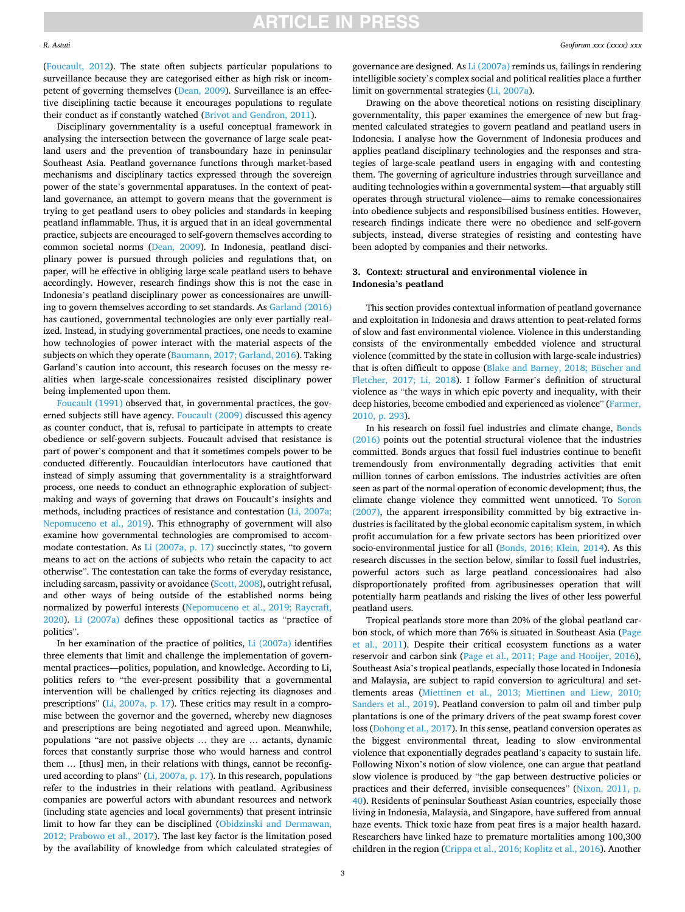### *R. Astuti*

([Foucault, 2012\)](#page-8-0). The state often subjects particular populations to surveillance because they are categorised either as high risk or incompetent of governing themselves ([Dean, 2009\)](#page-8-0). Surveillance is an effective disciplining tactic because it encourages populations to regulate their conduct as if constantly watched ([Brivot and Gendron, 2011](#page-8-0)).

Disciplinary governmentality is a useful conceptual framework in analysing the intersection between the governance of large scale peatland users and the prevention of transboundary haze in peninsular Southeast Asia. Peatland governance functions through market-based mechanisms and disciplinary tactics expressed through the sovereign power of the state's governmental apparatuses. In the context of peatland governance, an attempt to govern means that the government is trying to get peatland users to obey policies and standards in keeping peatland inflammable. Thus, it is argued that in an ideal governmental practice, subjects are encouraged to self-govern themselves according to common societal norms ([Dean, 2009](#page-8-0)). In Indonesia, peatland disciplinary power is pursued through policies and regulations that, on paper, will be effective in obliging large scale peatland users to behave accordingly. However, research findings show this is not the case in Indonesia's peatland disciplinary power as concessionaires are unwilling to govern themselves according to set standards. As [Garland \(2016\)](#page-9-0)  has cautioned, governmental technologies are only ever partially realized. Instead, in studying governmental practices, one needs to examine how technologies of power interact with the material aspects of the subjects on which they operate ([Baumann, 2017; Garland, 2016\)](#page-8-0). Taking Garland's caution into account, this research focuses on the messy realities when large-scale concessionaires resisted disciplinary power being implemented upon them.

[Foucault \(1991\)](#page-8-0) observed that, in governmental practices, the governed subjects still have agency. [Foucault \(2009\)](#page-8-0) discussed this agency as counter conduct, that is, refusal to participate in attempts to create obedience or self-govern subjects. Foucault advised that resistance is part of power's component and that it sometimes compels power to be conducted differently. Foucauldian interlocutors have cautioned that instead of simply assuming that governmentality is a straightforward process, one needs to conduct an ethnographic exploration of subjectmaking and ways of governing that draws on Foucault's insights and methods, including practices of resistance and contestation [\(Li, 2007a;](#page-9-0)  [Nepomuceno et al., 2019\)](#page-9-0). This ethnography of government will also examine how governmental technologies are compromised to accommodate contestation. As [Li \(2007a, p. 17\)](#page-9-0) succinctly states, "to govern means to act on the actions of subjects who retain the capacity to act otherwise". The contestation can take the forms of everyday resistance, including sarcasm, passivity or avoidance [\(Scott, 2008\)](#page-9-0), outright refusal, and other ways of being outside of the established norms being normalized by powerful interests ([Nepomuceno et al., 2019; Raycraft,](#page-9-0)  [2020\)](#page-9-0). [Li \(2007a\)](#page-9-0) defines these oppositional tactics as "practice of politics".

In her examination of the practice of politics, [Li \(2007a\)](#page-9-0) identifies three elements that limit and challenge the implementation of governmental practices––politics, population, and knowledge. According to Li, politics refers to "the ever-present possibility that a governmental intervention will be challenged by critics rejecting its diagnoses and prescriptions" [\(Li, 2007a, p. 17\)](#page-9-0). These critics may result in a compromise between the governor and the governed, whereby new diagnoses and prescriptions are being negotiated and agreed upon. Meanwhile, populations "are not passive objects … they are … actants, dynamic forces that constantly surprise those who would harness and control them … [thus] men, in their relations with things, cannot be reconfigured according to plans" [\(Li, 2007a, p. 17\)](#page-9-0). In this research, populations refer to the industries in their relations with peatland. Agribusiness companies are powerful actors with abundant resources and network (including state agencies and local governments) that present intrinsic limit to how far they can be disciplined ([Obidzinski and Dermawan,](#page-9-0)  [2012; Prabowo et al., 2017\)](#page-9-0). The last key factor is the limitation posed by the availability of knowledge from which calculated strategies of governance are designed. As [Li \(2007a\)](#page-9-0) reminds us, failings in rendering intelligible society's complex social and political realities place a further limit on governmental strategies ([Li, 2007a\)](#page-9-0).

Drawing on the above theoretical notions on resisting disciplinary governmentality, this paper examines the emergence of new but fragmented calculated strategies to govern peatland and peatland users in Indonesia. I analyse how the Government of Indonesia produces and applies peatland disciplinary technologies and the responses and strategies of large-scale peatland users in engaging with and contesting them. The governing of agriculture industries through surveillance and auditing technologies within a governmental system—that arguably still operates through structural violence—aims to remake concessionaires into obedience subjects and responsibilised business entities. However, research findings indicate there were no obedience and self-govern subjects, instead, diverse strategies of resisting and contesting have been adopted by companies and their networks.

## **3. Context: structural and environmental violence in Indonesia's peatland**

This section provides contextual information of peatland governance and exploitation in Indonesia and draws attention to peat-related forms of slow and fast environmental violence. Violence in this understanding consists of the environmentally embedded violence and structural violence (committed by the state in collusion with large-scale industries) that is often difficult to oppose [\(Blake and Barney, 2018; Büscher and](#page-8-0)  [Fletcher, 2017; Li, 2018\)](#page-8-0). I follow Farmer's definition of structural violence as "the ways in which epic poverty and inequality, with their deep histories, become embodied and experienced as violence" [\(Farmer,](#page-8-0)  [2010, p. 293\)](#page-8-0).

In his research on fossil fuel industries and climate change, [Bonds](#page-8-0)  [\(2016\)](#page-8-0) points out the potential structural violence that the industries committed. Bonds argues that fossil fuel industries continue to benefit tremendously from environmentally degrading activities that emit million tonnes of carbon emissions. The industries activities are often seen as part of the normal operation of economic development; thus, the climate change violence they committed went unnoticed. To [Soron](#page-9-0)  [\(2007\),](#page-9-0) the apparent irresponsibility committed by big extractive industries is facilitated by the global economic capitalism system, in which profit accumulation for a few private sectors has been prioritized over socio-environmental justice for all [\(Bonds, 2016; Klein, 2014](#page-8-0)). As this research discusses in the section below, similar to fossil fuel industries, powerful actors such as large peatland concessionaires had also disproportionately profited from agribusinesses operation that will potentially harm peatlands and risking the lives of other less powerful peatland users.

Tropical peatlands store more than 20% of the global peatland carbon stock, of which more than 76% is situated in Southeast Asia ([Page](#page-9-0)  [et al., 2011\)](#page-9-0). Despite their critical ecosystem functions as a water reservoir and carbon sink [\(Page et al., 2011; Page and Hooijer, 2016](#page-9-0)), Southeast Asia's tropical peatlands, especially those located in Indonesia and Malaysia, are subject to rapid conversion to agricultural and settlements areas [\(Miettinen et al., 2013; Miettinen and Liew, 2010;](#page-9-0)  [Sanders et al., 2019](#page-9-0)). Peatland conversion to palm oil and timber pulp plantations is one of the primary drivers of the peat swamp forest cover loss ([Dohong et al., 2017\)](#page-8-0). In this sense, peatland conversion operates as the biggest environmental threat, leading to slow environmental violence that exponentially degrades peatland's capacity to sustain life. Following Nixon's notion of slow violence, one can argue that peatland slow violence is produced by "the gap between destructive policies or practices and their deferred, invisible consequences" ([Nixon, 2011, p.](#page-9-0)  [40\)](#page-9-0). Residents of peninsular Southeast Asian countries, especially those living in Indonesia, Malaysia, and Singapore, have suffered from annual haze events. Thick toxic haze from peat fires is a major health hazard. Researchers have linked haze to premature mortalities among 100,300 children in the region ([Crippa et al., 2016; Koplitz et al., 2016](#page-8-0)). Another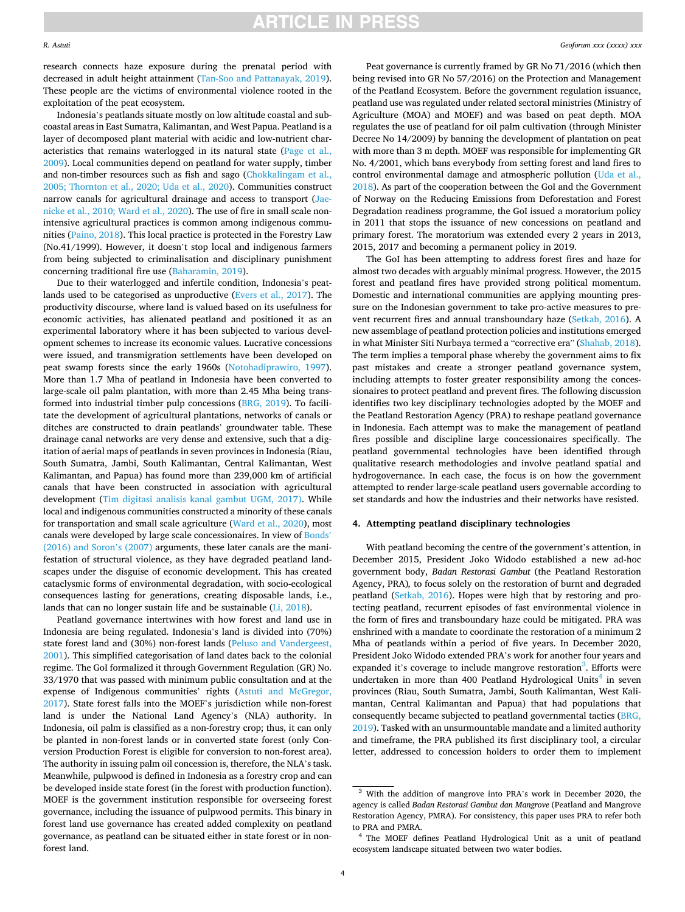**ARTICLE IN PRESS** 

research connects haze exposure during the prenatal period with decreased in adult height attainment [\(Tan-Soo and Pattanayak, 2019](#page-9-0)). These people are the victims of environmental violence rooted in the exploitation of the peat ecosystem.

Indonesia's peatlands situate mostly on low altitude coastal and subcoastal areas in East Sumatra, Kalimantan, and West Papua. Peatland is a layer of decomposed plant material with acidic and low-nutrient characteristics that remains waterlogged in its natural state [\(Page et al.,](#page-9-0)  [2009\)](#page-9-0). Local communities depend on peatland for water supply, timber and non-timber resources such as fish and sago [\(Chokkalingam et al.,](#page-8-0)  [2005; Thornton et al., 2020; Uda et al., 2020](#page-8-0)). Communities construct narrow canals for agricultural drainage and access to transport [\(Jae](#page-9-0)[nicke et al., 2010; Ward et al., 2020\)](#page-9-0). The use of fire in small scale nonintensive agricultural practices is common among indigenous communities ([Paino, 2018](#page-9-0)). This local practice is protected in the Forestry Law (No.41/1999). However, it doesn't stop local and indigenous farmers from being subjected to criminalisation and disciplinary punishment concerning traditional fire use ([Baharamin, 2019\)](#page-8-0).

Due to their waterlogged and infertile condition, Indonesia's peatlands used to be categorised as unproductive [\(Evers et al., 2017](#page-8-0)). The productivity discourse, where land is valued based on its usefulness for economic activities, has alienated peatland and positioned it as an experimental laboratory where it has been subjected to various development schemes to increase its economic values. Lucrative concessions were issued, and transmigration settlements have been developed on peat swamp forests since the early 1960s ([Notohadiprawiro, 1997](#page-9-0)). More than 1.7 Mha of peatland in Indonesia have been converted to large-scale oil palm plantation, with more than 2.45 Mha being transformed into industrial timber pulp concessions [\(BRG, 2019\)](#page-8-0). To facilitate the development of agricultural plantations, networks of canals or ditches are constructed to drain peatlands' groundwater table. These drainage canal networks are very dense and extensive, such that a digitation of aerial maps of peatlands in seven provinces in Indonesia (Riau, South Sumatra, Jambi, South Kalimantan, Central Kalimantan, West Kalimantan, and Papua) has found more than 239,000 km of artificial canals that have been constructed in association with agricultural development [\(Tim digitasi analisis kanal gambut UGM, 2017\)](#page-10-0). While local and indigenous communities constructed a minority of these canals for transportation and small scale agriculture ([Ward et al., 2020](#page-10-0)), most canals were developed by large scale concessionaires. In view of [Bonds](#page-8-0)' [\(2016\) and Soron](#page-8-0)'s (2007) arguments, these later canals are the manifestation of structural violence, as they have degraded peatland landscapes under the disguise of economic development. This has created cataclysmic forms of environmental degradation, with socio-ecological consequences lasting for generations, creating disposable lands, i.e., lands that can no longer sustain life and be sustainable [\(Li, 2018\)](#page-9-0).

Peatland governance intertwines with how forest and land use in Indonesia are being regulated. Indonesia's land is divided into (70%) state forest land and (30%) non-forest lands [\(Peluso and Vandergeest,](#page-9-0)  [2001\)](#page-9-0). This simplified categorisation of land dates back to the colonial regime. The GoI formalized it through Government Regulation (GR) No. 33/1970 that was passed with minimum public consultation and at the expense of Indigenous communities' rights [\(Astuti and McGregor,](#page-8-0)  [2017\)](#page-8-0). State forest falls into the MOEF's jurisdiction while non-forest land is under the National Land Agency's (NLA) authority. In Indonesia, oil palm is classified as a non-forestry crop; thus, it can only be planted in non-forest lands or in converted state forest (only Conversion Production Forest is eligible for conversion to non-forest area). The authority in issuing palm oil concession is, therefore, the NLA's task. Meanwhile, pulpwood is defined in Indonesia as a forestry crop and can be developed inside state forest (in the forest with production function). MOEF is the government institution responsible for overseeing forest governance, including the issuance of pulpwood permits. This binary in forest land use governance has created added complexity on peatland governance, as peatland can be situated either in state forest or in nonforest land.

Peat governance is currently framed by GR No 71/2016 (which then being revised into GR No 57/2016) on the Protection and Management of the Peatland Ecosystem. Before the government regulation issuance, peatland use was regulated under related sectoral ministries (Ministry of Agriculture (MOA) and MOEF) and was based on peat depth. MOA regulates the use of peatland for oil palm cultivation (through Minister Decree No 14/2009) by banning the development of plantation on peat with more than 3 m depth. MOEF was responsible for implementing GR No. 4/2001, which bans everybody from setting forest and land fires to control environmental damage and atmospheric pollution ([Uda et al.,](#page-10-0)  [2018\)](#page-10-0). As part of the cooperation between the GoI and the Government of Norway on the Reducing Emissions from Deforestation and Forest Degradation readiness programme, the GoI issued a moratorium policy in 2011 that stops the issuance of new concessions on peatland and primary forest. The moratorium was extended every 2 years in 2013, 2015, 2017 and becoming a permanent policy in 2019.

The GoI has been attempting to address forest fires and haze for almost two decades with arguably minimal progress. However, the 2015 forest and peatland fires have provided strong political momentum. Domestic and international communities are applying mounting pressure on the Indonesian government to take pro-active measures to prevent recurrent fires and annual transboundary haze ([Setkab, 2016](#page-9-0)). A new assemblage of peatland protection policies and institutions emerged in what Minister Siti Nurbaya termed a "corrective era" ([Shahab, 2018](#page-9-0)). The term implies a temporal phase whereby the government aims to fix past mistakes and create a stronger peatland governance system, including attempts to foster greater responsibility among the concessionaires to protect peatland and prevent fires. The following discussion identifies two key disciplinary technologies adopted by the MOEF and the Peatland Restoration Agency (PRA) to reshape peatland governance in Indonesia. Each attempt was to make the management of peatland fires possible and discipline large concessionaires specifically. The peatland governmental technologies have been identified through qualitative research methodologies and involve peatland spatial and hydrogovernance. In each case, the focus is on how the government attempted to render large-scale peatland users governable according to set standards and how the industries and their networks have resisted.

## **4. Attempting peatland disciplinary technologies**

With peatland becoming the centre of the government's attention, in December 2015, President Joko Widodo established a new ad-hoc government body, *Badan Restorasi Gambut* (the Peatland Restoration Agency, PRA)*,* to focus solely on the restoration of burnt and degraded peatland [\(Setkab, 2016](#page-9-0)). Hopes were high that by restoring and protecting peatland, recurrent episodes of fast environmental violence in the form of fires and transboundary haze could be mitigated. PRA was enshrined with a mandate to coordinate the restoration of a minimum 2 Mha of peatlands within a period of five years. In December 2020, President Joko Widodo extended PRA's work for another four years and expanded it's coverage to include mangrove restoration<sup>3</sup>. Efforts were undertaken in more than 400 Peatland Hydrological Units<sup>4</sup> in seven provinces (Riau, South Sumatra, Jambi, South Kalimantan, West Kalimantan, Central Kalimantan and Papua) that had populations that consequently became subjected to peatland governmental tactics ([BRG,](#page-8-0)  [2019\)](#page-8-0). Tasked with an unsurmountable mandate and a limited authority and timeframe, the PRA published its first disciplinary tool, a circular letter, addressed to concession holders to order them to implement

<sup>3</sup> With the addition of mangrove into PRA's work in December 2020, the agency is called *Badan Restorasi Gambut dan Mangrove* (Peatland and Mangrove Restoration Agency, PMRA). For consistency, this paper uses PRA to refer both to PRA and PMRA. 4 The MOEF defines Peatland Hydrological Unit as a unit of peatland

ecosystem landscape situated between two water bodies.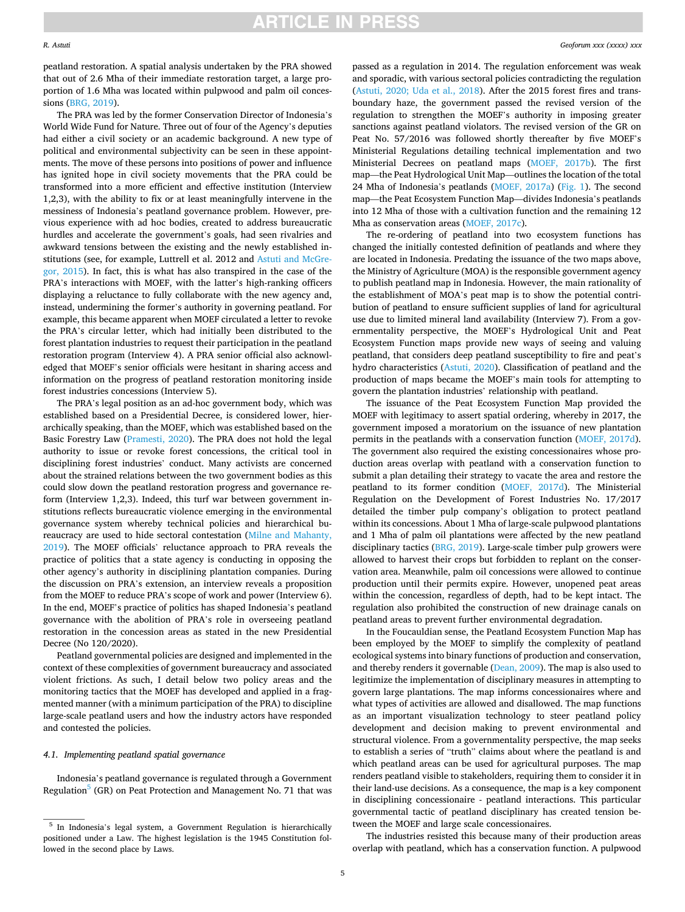**ARTICLE IN PRESS** 

peatland restoration. A spatial analysis undertaken by the PRA showed that out of 2.6 Mha of their immediate restoration target, a large proportion of 1.6 Mha was located within pulpwood and palm oil concessions ([BRG, 2019\)](#page-8-0).

The PRA was led by the former Conservation Director of Indonesia's World Wide Fund for Nature. Three out of four of the Agency's deputies had either a civil society or an academic background. A new type of political and environmental subjectivity can be seen in these appointments. The move of these persons into positions of power and influence has ignited hope in civil society movements that the PRA could be transformed into a more efficient and effective institution (Interview 1,2,3), with the ability to fix or at least meaningfully intervene in the messiness of Indonesia's peatland governance problem. However, previous experience with ad hoc bodies, created to address bureaucratic hurdles and accelerate the government's goals, had seen rivalries and awkward tensions between the existing and the newly established institutions (see, for example, Luttrell et al. 2012 and [Astuti and McGre](#page-8-0)[gor, 2015](#page-8-0)). In fact, this is what has also transpired in the case of the PRA's interactions with MOEF, with the latter's high-ranking officers displaying a reluctance to fully collaborate with the new agency and, instead, undermining the former's authority in governing peatland. For example, this became apparent when MOEF circulated a letter to revoke the PRA's circular letter, which had initially been distributed to the forest plantation industries to request their participation in the peatland restoration program (Interview 4). A PRA senior official also acknowledged that MOEF's senior officials were hesitant in sharing access and information on the progress of peatland restoration monitoring inside forest industries concessions (Interview 5).

The PRA's legal position as an ad-hoc government body, which was established based on a Presidential Decree, is considered lower, hierarchically speaking, than the MOEF, which was established based on the Basic Forestry Law ([Pramesti, 2020](#page-9-0)). The PRA does not hold the legal authority to issue or revoke forest concessions, the critical tool in disciplining forest industries' conduct. Many activists are concerned about the strained relations between the two government bodies as this could slow down the peatland restoration progress and governance reform (Interview 1,2,3). Indeed, this turf war between government institutions reflects bureaucratic violence emerging in the environmental governance system whereby technical policies and hierarchical bureaucracy are used to hide sectoral contestation [\(Milne and Mahanty,](#page-9-0)  [2019\)](#page-9-0). The MOEF officials' reluctance approach to PRA reveals the practice of politics that a state agency is conducting in opposing the other agency's authority in disciplining plantation companies. During the discussion on PRA's extension, an interview reveals a proposition from the MOEF to reduce PRA's scope of work and power (Interview 6). In the end, MOEF's practice of politics has shaped Indonesia's peatland governance with the abolition of PRA's role in overseeing peatland restoration in the concession areas as stated in the new Presidential Decree (No 120/2020).

Peatland governmental policies are designed and implemented in the context of these complexities of government bureaucracy and associated violent frictions. As such, I detail below two policy areas and the monitoring tactics that the MOEF has developed and applied in a fragmented manner (with a minimum participation of the PRA) to discipline large-scale peatland users and how the industry actors have responded and contested the policies.

## *4.1. Implementing peatland spatial governance*

Indonesia's peatland governance is regulated through a Government Regulation<sup>5</sup> (GR) on Peat Protection and Management No. 71 that was

passed as a regulation in 2014. The regulation enforcement was weak and sporadic, with various sectoral policies contradicting the regulation ([Astuti, 2020; Uda et al., 2018](#page-8-0)). After the 2015 forest fires and transboundary haze, the government passed the revised version of the regulation to strengthen the MOEF's authority in imposing greater sanctions against peatland violators. The revised version of the GR on Peat No. 57/2016 was followed shortly thereafter by five MOEF's Ministerial Regulations detailing technical implementation and two Ministerial Decrees on peatland maps ([MOEF, 2017b\)](#page-9-0). The first map—the Peat Hydrological Unit Map—outlines the location of the total 24 Mha of Indonesia's peatlands [\(MOEF, 2017a](#page-9-0)) [\(Fig. 1\)](#page-5-0). The second map—the Peat Ecosystem Function Map—divides Indonesia's peatlands into 12 Mha of those with a cultivation function and the remaining 12 Mha as conservation areas [\(MOEF, 2017c](#page-9-0)).

The re-ordering of peatland into two ecosystem functions has changed the initially contested definition of peatlands and where they are located in Indonesia. Predating the issuance of the two maps above, the Ministry of Agriculture (MOA) is the responsible government agency to publish peatland map in Indonesia. However, the main rationality of the establishment of MOA's peat map is to show the potential contribution of peatland to ensure sufficient supplies of land for agricultural use due to limited mineral land availability (Interview 7). From a governmentality perspective, the MOEF's Hydrological Unit and Peat Ecosystem Function maps provide new ways of seeing and valuing peatland, that considers deep peatland susceptibility to fire and peat's hydro characteristics [\(Astuti, 2020](#page-8-0)). Classification of peatland and the production of maps became the MOEF's main tools for attempting to govern the plantation industries' relationship with peatland.

The issuance of the Peat Ecosystem Function Map provided the MOEF with legitimacy to assert spatial ordering, whereby in 2017, the government imposed a moratorium on the issuance of new plantation permits in the peatlands with a conservation function [\(MOEF, 2017d](#page-9-0)). The government also required the existing concessionaires whose production areas overlap with peatland with a conservation function to submit a plan detailing their strategy to vacate the area and restore the peatland to its former condition ([MOEF, 2017d\)](#page-9-0). The Ministerial Regulation on the Development of Forest Industries No. 17/2017 detailed the timber pulp company's obligation to protect peatland within its concessions. About 1 Mha of large-scale pulpwood plantations and 1 Mha of palm oil plantations were affected by the new peatland disciplinary tactics [\(BRG, 2019\)](#page-8-0). Large-scale timber pulp growers were allowed to harvest their crops but forbidden to replant on the conservation area. Meanwhile, palm oil concessions were allowed to continue production until their permits expire. However, unopened peat areas within the concession, regardless of depth, had to be kept intact. The regulation also prohibited the construction of new drainage canals on peatland areas to prevent further environmental degradation.

In the Foucauldian sense, the Peatland Ecosystem Function Map has been employed by the MOEF to simplify the complexity of peatland ecological systems into binary functions of production and conservation, and thereby renders it governable ([Dean, 2009\)](#page-8-0). The map is also used to legitimize the implementation of disciplinary measures in attempting to govern large plantations. The map informs concessionaires where and what types of activities are allowed and disallowed. The map functions as an important visualization technology to steer peatland policy development and decision making to prevent environmental and structural violence. From a governmentality perspective, the map seeks to establish a series of "truth" claims about where the peatland is and which peatland areas can be used for agricultural purposes. The map renders peatland visible to stakeholders, requiring them to consider it in their land-use decisions. As a consequence, the map is a key component in disciplining concessionaire - peatland interactions. This particular governmental tactic of peatland disciplinary has created tension between the MOEF and large scale concessionaires.

The industries resisted this because many of their production areas overlap with peatland, which has a conservation function. A pulpwood

<sup>5</sup> In Indonesia's legal system, a Government Regulation is hierarchically positioned under a Law. The highest legislation is the 1945 Constitution followed in the second place by Laws.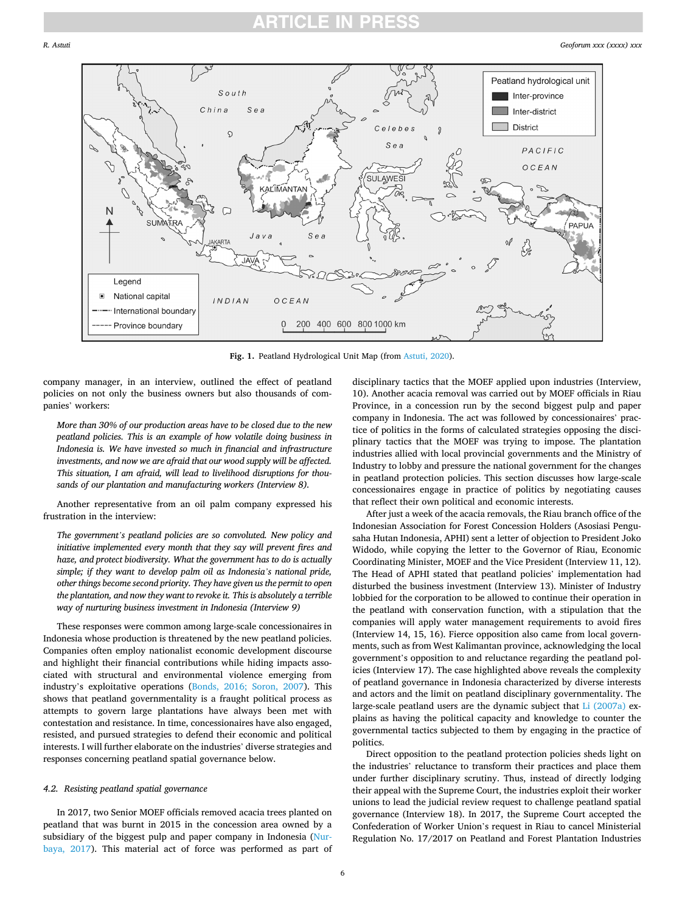## ICI E IN

<span id="page-5-0"></span>

**Fig. 1.** Peatland Hydrological Unit Map (from [Astuti, 2020\)](#page-8-0).

company manager, in an interview, outlined the effect of peatland policies on not only the business owners but also thousands of companies' workers:

*More than 30% of our production areas have to be closed due to the new peatland policies. This is an example of how volatile doing business in Indonesia is. We have invested so much in financial and infrastructure investments, and now we are afraid that our wood supply will be affected. This situation, I am afraid, will lead to livelihood disruptions for thousands of our plantation and manufacturing workers (Interview 8).* 

Another representative from an oil palm company expressed his frustration in the interview:

*The government's peatland policies are so convoluted. New policy and initiative implemented every month that they say will prevent fires and haze, and protect biodiversity. What the government has to do is actually simple; if they want to develop palm oil as Indonesia's national pride, other things become second priority. They have given us the permit to open the plantation, and now they want to revoke it. This is absolutely a terrible way of nurturing business investment in Indonesia (Interview 9)* 

These responses were common among large-scale concessionaires in Indonesia whose production is threatened by the new peatland policies. Companies often employ nationalist economic development discourse and highlight their financial contributions while hiding impacts associated with structural and environmental violence emerging from industry's exploitative operations [\(Bonds, 2016; Soron, 2007](#page-8-0)). This shows that peatland governmentality is a fraught political process as attempts to govern large plantations have always been met with contestation and resistance. In time, concessionaires have also engaged, resisted, and pursued strategies to defend their economic and political interests. I will further elaborate on the industries' diverse strategies and responses concerning peatland spatial governance below.

## *4.2. Resisting peatland spatial governance*

In 2017, two Senior MOEF officials removed acacia trees planted on peatland that was burnt in 2015 in the concession area owned by a subsidiary of the biggest pulp and paper company in Indonesia ([Nur](#page-9-0)[baya, 2017](#page-9-0)). This material act of force was performed as part of

disciplinary tactics that the MOEF applied upon industries (Interview, 10). Another acacia removal was carried out by MOEF officials in Riau Province, in a concession run by the second biggest pulp and paper company in Indonesia. The act was followed by concessionaires' practice of politics in the forms of calculated strategies opposing the disciplinary tactics that the MOEF was trying to impose. The plantation industries allied with local provincial governments and the Ministry of Industry to lobby and pressure the national government for the changes in peatland protection policies. This section discusses how large-scale concessionaires engage in practice of politics by negotiating causes that reflect their own political and economic interests.

After just a week of the acacia removals, the Riau branch office of the Indonesian Association for Forest Concession Holders (Asosiasi Pengusaha Hutan Indonesia, APHI) sent a letter of objection to President Joko Widodo, while copying the letter to the Governor of Riau, Economic Coordinating Minister, MOEF and the Vice President (Interview 11, 12). The Head of APHI stated that peatland policies' implementation had disturbed the business investment (Interview 13). Minister of Industry lobbied for the corporation to be allowed to continue their operation in the peatland with conservation function, with a stipulation that the companies will apply water management requirements to avoid fires (Interview 14, 15, 16). Fierce opposition also came from local governments, such as from West Kalimantan province, acknowledging the local government's opposition to and reluctance regarding the peatland policies (Interview 17). The case highlighted above reveals the complexity of peatland governance in Indonesia characterized by diverse interests and actors and the limit on peatland disciplinary governmentality. The large-scale peatland users are the dynamic subject that [Li \(2007a\)](#page-9-0) explains as having the political capacity and knowledge to counter the governmental tactics subjected to them by engaging in the practice of politics.

Direct opposition to the peatland protection policies sheds light on the industries' reluctance to transform their practices and place them under further disciplinary scrutiny. Thus, instead of directly lodging their appeal with the Supreme Court, the industries exploit their worker unions to lead the judicial review request to challenge peatland spatial governance (Interview 18). In 2017, the Supreme Court accepted the Confederation of Worker Union's request in Riau to cancel Ministerial Regulation No. 17/2017 on Peatland and Forest Plantation Industries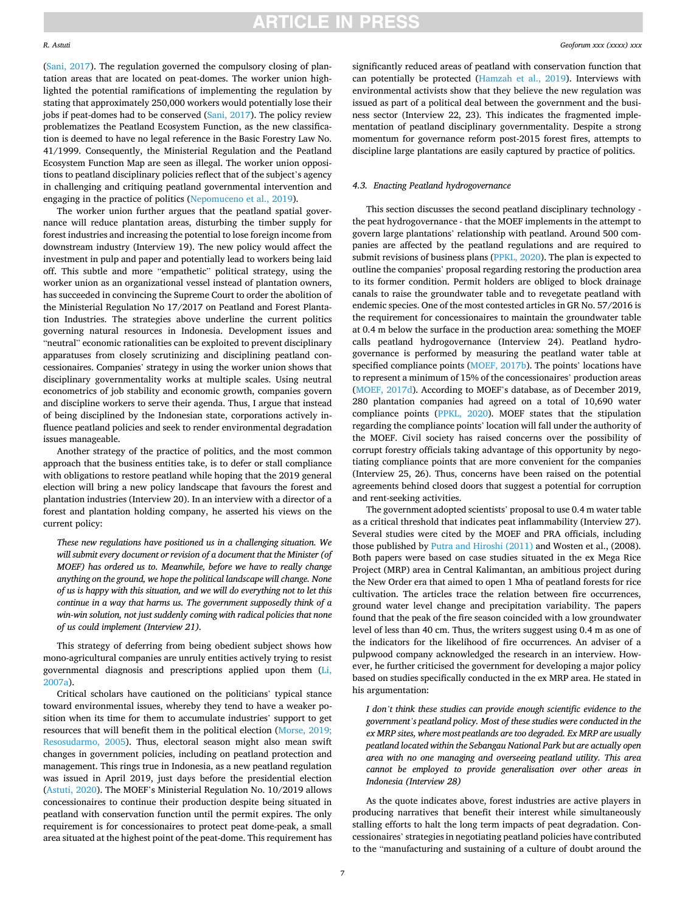([Sani, 2017\)](#page-9-0). The regulation governed the compulsory closing of plantation areas that are located on peat-domes. The worker union highlighted the potential ramifications of implementing the regulation by stating that approximately 250,000 workers would potentially lose their jobs if peat-domes had to be conserved [\(Sani, 2017\)](#page-9-0). The policy review problematizes the Peatland Ecosystem Function, as the new classification is deemed to have no legal reference in the Basic Forestry Law No. 41/1999. Consequently, the Ministerial Regulation and the Peatland Ecosystem Function Map are seen as illegal. The worker union oppositions to peatland disciplinary policies reflect that of the subject's agency in challenging and critiquing peatland governmental intervention and engaging in the practice of politics ([Nepomuceno et al., 2019](#page-9-0)).

The worker union further argues that the peatland spatial governance will reduce plantation areas, disturbing the timber supply for forest industries and increasing the potential to lose foreign income from downstream industry (Interview 19). The new policy would affect the investment in pulp and paper and potentially lead to workers being laid off. This subtle and more "empathetic" political strategy, using the worker union as an organizational vessel instead of plantation owners, has succeeded in convincing the Supreme Court to order the abolition of the Ministerial Regulation No 17/2017 on Peatland and Forest Plantation Industries. The strategies above underline the current politics governing natural resources in Indonesia. Development issues and "neutral" economic rationalities can be exploited to prevent disciplinary apparatuses from closely scrutinizing and disciplining peatland concessionaires. Companies' strategy in using the worker union shows that disciplinary governmentality works at multiple scales. Using neutral econometrics of job stability and economic growth, companies govern and discipline workers to serve their agenda. Thus, I argue that instead of being disciplined by the Indonesian state, corporations actively influence peatland policies and seek to render environmental degradation issues manageable.

Another strategy of the practice of politics, and the most common approach that the business entities take, is to defer or stall compliance with obligations to restore peatland while hoping that the 2019 general election will bring a new policy landscape that favours the forest and plantation industries (Interview 20). In an interview with a director of a forest and plantation holding company, he asserted his views on the current policy:

*These new regulations have positioned us in a challenging situation. We will submit every document or revision of a document that the Minister (of MOEF) has ordered us to. Meanwhile, before we have to really change anything on the ground, we hope the political landscape will change. None of us is happy with this situation, and we will do everything not to let this continue in a way that harms us. The government supposedly think of a win-win solution, not just suddenly coming with radical policies that none of us could implement (Interview 21).* 

This strategy of deferring from being obedient subject shows how mono-agricultural companies are unruly entities actively trying to resist governmental diagnosis and prescriptions applied upon them ([Li,](#page-9-0)  [2007a\)](#page-9-0).

Critical scholars have cautioned on the politicians' typical stance toward environmental issues, whereby they tend to have a weaker position when its time for them to accumulate industries' support to get resources that will benefit them in the political election [\(Morse, 2019;](#page-9-0)  [Resosudarmo, 2005](#page-9-0)). Thus, electoral season might also mean swift changes in government policies, including on peatland protection and management. This rings true in Indonesia, as a new peatland regulation was issued in April 2019, just days before the presidential election ([Astuti, 2020](#page-8-0)). The MOEF's Ministerial Regulation No. 10/2019 allows concessionaires to continue their production despite being situated in peatland with conservation function until the permit expires. The only requirement is for concessionaires to protect peat dome-peak, a small area situated at the highest point of the peat-dome. This requirement has significantly reduced areas of peatland with conservation function that can potentially be protected ([Hamzah et al., 2019](#page-9-0)). Interviews with environmental activists show that they believe the new regulation was issued as part of a political deal between the government and the business sector (Interview 22, 23). This indicates the fragmented implementation of peatland disciplinary governmentality. Despite a strong momentum for governance reform post-2015 forest fires, attempts to discipline large plantations are easily captured by practice of politics.

## *4.3. Enacting Peatland hydrogovernance*

This section discusses the second peatland disciplinary technology the peat hydrogovernance - that the MOEF implements in the attempt to govern large plantations' relationship with peatland. Around 500 companies are affected by the peatland regulations and are required to submit revisions of business plans ([PPKL, 2020](#page-9-0)). The plan is expected to outline the companies' proposal regarding restoring the production area to its former condition. Permit holders are obliged to block drainage canals to raise the groundwater table and to revegetate peatland with endemic species. One of the most contested articles in GR No. 57/2016 is the requirement for concessionaires to maintain the groundwater table at 0.4 m below the surface in the production area: something the MOEF calls peatland hydrogovernance (Interview 24). Peatland hydrogovernance is performed by measuring the peatland water table at specified compliance points [\(MOEF, 2017b\)](#page-9-0). The points' locations have to represent a minimum of 15% of the concessionaires' production areas ([MOEF, 2017d\)](#page-9-0). According to MOEF's database, as of December 2019, 280 plantation companies had agreed on a total of 10,690 water compliance points ([PPKL, 2020](#page-9-0)). MOEF states that the stipulation regarding the compliance points' location will fall under the authority of the MOEF. Civil society has raised concerns over the possibility of corrupt forestry officials taking advantage of this opportunity by negotiating compliance points that are more convenient for the companies (Interview 25, 26). Thus, concerns have been raised on the potential agreements behind closed doors that suggest a potential for corruption and rent-seeking activities.

The government adopted scientists' proposal to use 0.4 m water table as a critical threshold that indicates peat inflammability (Interview 27). Several studies were cited by the MOEF and PRA officials, including those published by [Putra and Hiroshi \(2011\)](#page-9-0) and Wosten et al., (2008). Both papers were based on case studies situated in the ex Mega Rice Project (MRP) area in Central Kalimantan, an ambitious project during the New Order era that aimed to open 1 Mha of peatland forests for rice cultivation. The articles trace the relation between fire occurrences, ground water level change and precipitation variability. The papers found that the peak of the fire season coincided with a low groundwater level of less than 40 cm. Thus, the writers suggest using 0.4 m as one of the indicators for the likelihood of fire occurrences. An adviser of a pulpwood company acknowledged the research in an interview. However, he further criticised the government for developing a major policy based on studies specifically conducted in the ex MRP area. He stated in his argumentation:

*I don't think these studies can provide enough scientific evidence to the government's peatland policy. Most of these studies were conducted in the ex MRP sites, where most peatlands are too degraded. Ex MRP are usually peatland located within the Sebangau National Park but are actually open area with no one managing and overseeing peatland utility. This area cannot be employed to provide generalisation over other areas in Indonesia (Interview 28)* 

As the quote indicates above, forest industries are active players in producing narratives that benefit their interest while simultaneously stalling efforts to halt the long term impacts of peat degradation. Concessionaires' strategies in negotiating peatland policies have contributed to the "manufacturing and sustaining of a culture of doubt around the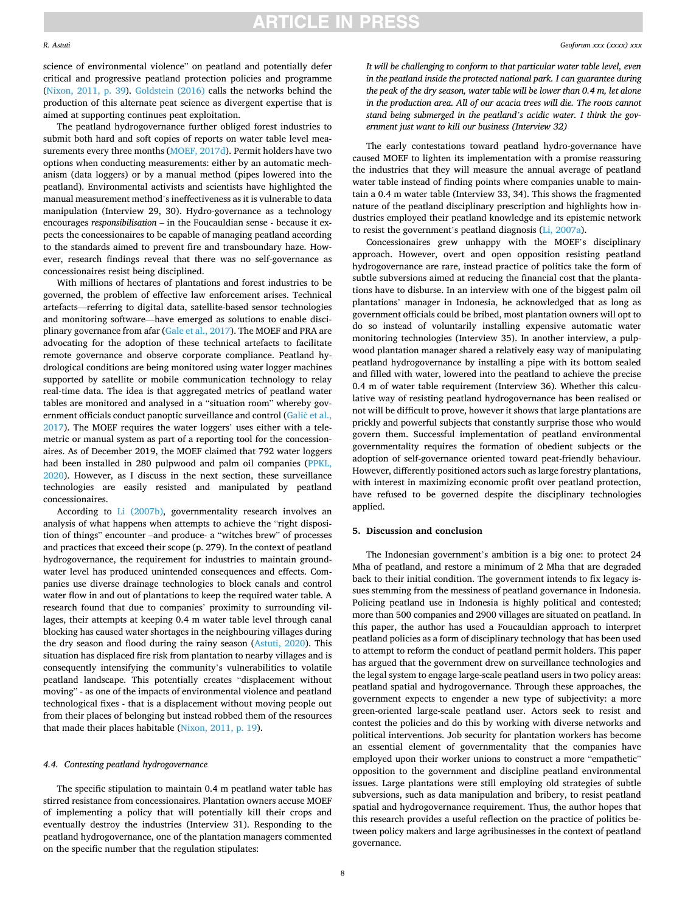**ARTICLE IN PRESS** 

The peatland hydrogovernance further obliged forest industries to submit both hard and soft copies of reports on water table level measurements every three months ([MOEF, 2017d](#page-9-0)). Permit holders have two options when conducting measurements: either by an automatic mechanism (data loggers) or by a manual method (pipes lowered into the peatland). Environmental activists and scientists have highlighted the manual measurement method's ineffectiveness as it is vulnerable to data manipulation (Interview 29, 30). Hydro-governance as a technology encourages *responsibilisation* – in the Foucauldian sense - because it expects the concessionaires to be capable of managing peatland according to the standards aimed to prevent fire and transboundary haze. However, research findings reveal that there was no self-governance as concessionaires resist being disciplined.

With millions of hectares of plantations and forest industries to be governed, the problem of effective law enforcement arises. Technical artefacts—referring to digital data, satellite-based sensor technologies and monitoring software—have emerged as solutions to enable disciplinary governance from afar ([Gale et al., 2017](#page-9-0)). The MOEF and PRA are advocating for the adoption of these technical artefacts to facilitate remote governance and observe corporate compliance. Peatland hydrological conditions are being monitored using water logger machines supported by satellite or mobile communication technology to relay real-time data. The idea is that aggregated metrics of peatland water tables are monitored and analysed in a "situation room" whereby government officials conduct panoptic surveillance and control (Galič et al., [2017\)](#page-9-0). The MOEF requires the water loggers' uses either with a telemetric or manual system as part of a reporting tool for the concessionaires. As of December 2019, the MOEF claimed that 792 water loggers had been installed in 280 pulpwood and palm oil companies ([PPKL,](#page-9-0)  [2020\)](#page-9-0). However, as I discuss in the next section, these surveillance technologies are easily resisted and manipulated by peatland concessionaires.

According to [Li \(2007b\),](#page-9-0) governmentality research involves an analysis of what happens when attempts to achieve the "right disposition of things" encounter –and produce- a "witches brew" of processes and practices that exceed their scope (p. 279). In the context of peatland hydrogovernance, the requirement for industries to maintain groundwater level has produced unintended consequences and effects. Companies use diverse drainage technologies to block canals and control water flow in and out of plantations to keep the required water table. A research found that due to companies' proximity to surrounding villages, their attempts at keeping 0.4 m water table level through canal blocking has caused water shortages in the neighbouring villages during the dry season and flood during the rainy season [\(Astuti, 2020](#page-8-0)). This situation has displaced fire risk from plantation to nearby villages and is consequently intensifying the community's vulnerabilities to volatile peatland landscape. This potentially creates "displacement without moving" - as one of the impacts of environmental violence and peatland technological fixes - that is a displacement without moving people out from their places of belonging but instead robbed them of the resources that made their places habitable [\(Nixon, 2011, p. 19](#page-9-0)).

### *4.4. Contesting peatland hydrogovernance*

The specific stipulation to maintain 0.4 m peatland water table has stirred resistance from concessionaires. Plantation owners accuse MOEF of implementing a policy that will potentially kill their crops and eventually destroy the industries (Interview 31). Responding to the peatland hydrogovernance, one of the plantation managers commented on the specific number that the regulation stipulates:

*It will be challenging to conform to that particular water table level, even in the peatland inside the protected national park. I can guarantee during the peak of the dry season, water table will be lower than 0.4 m, let alone in the production area. All of our acacia trees will die. The roots cannot stand being submerged in the peatland's acidic water. I think the government just want to kill our business (Interview 32)* 

The early contestations toward peatland hydro-governance have caused MOEF to lighten its implementation with a promise reassuring the industries that they will measure the annual average of peatland water table instead of finding points where companies unable to maintain a 0.4 m water table (Interview 33, 34). This shows the fragmented nature of the peatland disciplinary prescription and highlights how industries employed their peatland knowledge and its epistemic network to resist the government's peatland diagnosis [\(Li, 2007a](#page-9-0)).

Concessionaires grew unhappy with the MOEF's disciplinary approach. However, overt and open opposition resisting peatland hydrogovernance are rare, instead practice of politics take the form of subtle subversions aimed at reducing the financial cost that the plantations have to disburse. In an interview with one of the biggest palm oil plantations' manager in Indonesia, he acknowledged that as long as government officials could be bribed, most plantation owners will opt to do so instead of voluntarily installing expensive automatic water monitoring technologies (Interview 35). In another interview, a pulpwood plantation manager shared a relatively easy way of manipulating peatland hydrogovernance by installing a pipe with its bottom sealed and filled with water, lowered into the peatland to achieve the precise 0.4 m of water table requirement (Interview 36). Whether this calculative way of resisting peatland hydrogovernance has been realised or not will be difficult to prove, however it shows that large plantations are prickly and powerful subjects that constantly surprise those who would govern them. Successful implementation of peatland environmental governmentality requires the formation of obedient subjects or the adoption of self-governance oriented toward peat-friendly behaviour. However, differently positioned actors such as large forestry plantations, with interest in maximizing economic profit over peatland protection, have refused to be governed despite the disciplinary technologies applied.

### **5. Discussion and conclusion**

The Indonesian government's ambition is a big one: to protect 24 Mha of peatland, and restore a minimum of 2 Mha that are degraded back to their initial condition. The government intends to fix legacy issues stemming from the messiness of peatland governance in Indonesia. Policing peatland use in Indonesia is highly political and contested; more than 500 companies and 2900 villages are situated on peatland. In this paper, the author has used a Foucauldian approach to interpret peatland policies as a form of disciplinary technology that has been used to attempt to reform the conduct of peatland permit holders. This paper has argued that the government drew on surveillance technologies and the legal system to engage large-scale peatland users in two policy areas: peatland spatial and hydrogovernance. Through these approaches, the government expects to engender a new type of subjectivity: a more green-oriented large-scale peatland user. Actors seek to resist and contest the policies and do this by working with diverse networks and political interventions. Job security for plantation workers has become an essential element of governmentality that the companies have employed upon their worker unions to construct a more "empathetic" opposition to the government and discipline peatland environmental issues. Large plantations were still employing old strategies of subtle subversions, such as data manipulation and bribery, to resist peatland spatial and hydrogovernance requirement. Thus, the author hopes that this research provides a useful reflection on the practice of politics between policy makers and large agribusinesses in the context of peatland governance.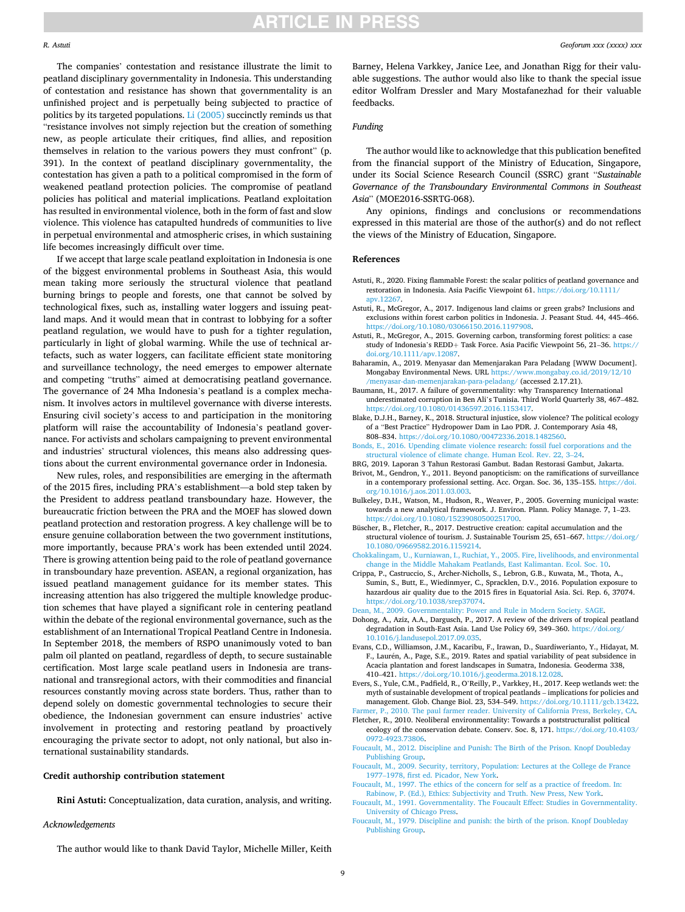<span id="page-8-0"></span>The companies' contestation and resistance illustrate the limit to peatland disciplinary governmentality in Indonesia. This understanding of contestation and resistance has shown that governmentality is an unfinished project and is perpetually being subjected to practice of politics by its targeted populations. [Li \(2005\)](#page-9-0) succinctly reminds us that "resistance involves not simply rejection but the creation of something new, as people articulate their critiques, find allies, and reposition themselves in relation to the various powers they must confront" (p. 391). In the context of peatland disciplinary governmentality, the contestation has given a path to a political compromised in the form of weakened peatland protection policies. The compromise of peatland policies has political and material implications. Peatland exploitation has resulted in environmental violence, both in the form of fast and slow violence. This violence has catapulted hundreds of communities to live in perpetual environmental and atmospheric crises, in which sustaining life becomes increasingly difficult over time.

If we accept that large scale peatland exploitation in Indonesia is one of the biggest environmental problems in Southeast Asia, this would mean taking more seriously the structural violence that peatland burning brings to people and forests, one that cannot be solved by technological fixes, such as, installing water loggers and issuing peatland maps. And it would mean that in contrast to lobbying for a softer peatland regulation, we would have to push for a tighter regulation, particularly in light of global warming. While the use of technical artefacts, such as water loggers, can facilitate efficient state monitoring and surveillance technology, the need emerges to empower alternate and competing "truths" aimed at democratising peatland governance. The governance of 24 Mha Indonesia's peatland is a complex mechanism. It involves actors in multilevel governance with diverse interests. Ensuring civil society's access to and participation in the monitoring platform will raise the accountability of Indonesia's peatland governance. For activists and scholars campaigning to prevent environmental and industries' structural violences, this means also addressing questions about the current environmental governance order in Indonesia.

New rules, roles, and responsibilities are emerging in the aftermath of the 2015 fires, including PRA's establishment—a bold step taken by the President to address peatland transboundary haze. However, the bureaucratic friction between the PRA and the MOEF has slowed down peatland protection and restoration progress. A key challenge will be to ensure genuine collaboration between the two government institutions, more importantly, because PRA's work has been extended until 2024. There is growing attention being paid to the role of peatland governance in transboundary haze prevention. ASEAN, a regional organization, has issued peatland management guidance for its member states. This increasing attention has also triggered the multiple knowledge production schemes that have played a significant role in centering peatland within the debate of the regional environmental governance, such as the establishment of an International Tropical Peatland Centre in Indonesia. In September 2018, the members of RSPO unanimously voted to ban palm oil planted on peatland, regardless of depth, to secure sustainable certification. Most large scale peatland users in Indonesia are transnational and transregional actors, with their commodities and financial resources constantly moving across state borders. Thus, rather than to depend solely on domestic governmental technologies to secure their obedience, the Indonesian government can ensure industries' active involvement in protecting and restoring peatland by proactively encouraging the private sector to adopt, not only national, but also international sustainability standards.

### **Credit authorship contribution statement**

**Rini Astuti:** Conceptualization, data curation, analysis, and writing.

#### *Acknowledgements*

The author would like to thank David Taylor, Michelle Miller, Keith

Barney, Helena Varkkey, Janice Lee, and Jonathan Rigg for their valuable suggestions. The author would also like to thank the special issue editor Wolfram Dressler and Mary Mostafanezhad for their valuable feedbacks.

## *Funding*

The author would like to acknowledge that this publication benefited from the financial support of the Ministry of Education, Singapore, under its Social Science Research Council (SSRC) grant "*Sustainable Governance of the Transboundary Environmental Commons in Southeast Asia*" (MOE2016-SSRTG-068).

Any opinions, findings and conclusions or recommendations expressed in this material are those of the author(s) and do not reflect the views of the Ministry of Education, Singapore.

#### **References**

- Astuti, R., 2020. Fixing flammable Forest: the scalar politics of peatland governance and restoration in Indonesia. Asia Pacific Viewpoint 61. [https://doi.org/10.1111/](https://doi.org/10.1111/apv.12267) [apv.12267](https://doi.org/10.1111/apv.12267).
- Astuti, R., McGregor, A., 2017. Indigenous land claims or green grabs? Inclusions and exclusions within forest carbon politics in Indonesia. J. Peasant Stud. 44, 445–466. <https://doi.org/10.1080/03066150.2016.1197908>.
- Astuti, R., McGregor, A., 2015. Governing carbon, transforming forest politics: a case study of Indonesia's REDD+ Task Force. Asia Pacific Viewpoint 56, 21–36. [https://](https://doi.org/10.1111/apv.12087)  [doi.org/10.1111/apv.12087](https://doi.org/10.1111/apv.12087).
- Baharamin, A., 2019. Menyasar dan Memenjarakan Para Peladang [WWW Document]. Mongabay Environmental News. URL [https://www.mongabay.co.id/2019/12/10](https://www.mongabay.co.id/2019/12/10/menyasar-dan-memenjarakan-para-peladang/) [/menyasar-dan-memenjarakan-para-peladang/](https://www.mongabay.co.id/2019/12/10/menyasar-dan-memenjarakan-para-peladang/) (accessed 2.17.21).
- Baumann, H., 2017. A failure of governmentality: why Transparency International underestimated corruption in Ben Ali's Tunisia. Third World Quarterly 38, 467–482. <https://doi.org/10.1080/01436597.2016.1153417>.
- Blake, D.J.H., Barney, K., 2018. Structural injustice, slow violence? The political ecology of a "Best Practice" Hydropower Dam in Lao PDR. J. Contemporary Asia 48, 808–834. [https://doi.org/10.1080/00472336.2018.1482560.](https://doi.org/10.1080/00472336.2018.1482560)
- [Bonds, E., 2016. Upending climate violence research: fossil fuel corporations and the](http://refhub.elsevier.com/S0016-7185(21)00078-6/h0035) [structural violence of climate change. Human Ecol. Rev. 22, 3](http://refhub.elsevier.com/S0016-7185(21)00078-6/h0035)–24.
- BRG, 2019. Laporan 3 Tahun Restorasi Gambut. Badan Restorasi Gambut, Jakarta.
- Brivot, M., Gendron, Y., 2011. Beyond panopticism: on the ramifications of surveillance in a contemporary professional setting. Acc. Organ. Soc. 36, 135–155. [https://doi.](https://doi.org/10.1016/j.aos.2011.03.003)  [org/10.1016/j.aos.2011.03.003.](https://doi.org/10.1016/j.aos.2011.03.003)
- Bulkeley, D.H., Watson, M., Hudson, R., Weaver, P., 2005. Governing municipal waste: towards a new analytical framework. J. Environ. Plann. Policy Manage. 7, 1–23. <https://doi.org/10.1080/15239080500251700>.
- Büscher, B., Fletcher, R., 2017. Destructive creation: capital accumulation and the structural violence of tourism. J. Sustainable Tourism 25, 651–667. [https://doi.org/](https://doi.org/10.1080/09669582.2016.1159214)  [10.1080/09669582.2016.1159214.](https://doi.org/10.1080/09669582.2016.1159214)
- [Chokkalingam, U., Kurniawan, I., Ruchiat, Y., 2005. Fire, livelihoods, and environmental](http://refhub.elsevier.com/S0016-7185(21)00078-6/h0060)  [change in the Middle Mahakam Peatlands, East Kalimantan. Ecol. Soc. 10](http://refhub.elsevier.com/S0016-7185(21)00078-6/h0060).
- Crippa, P., Castruccio, S., Archer-Nicholls, S., Lebron, G.B., Kuwata, M., Thota, A., Sumin, S., Butt, E., Wiedinmyer, C., Spracklen, D.V., 2016. Population exposure to hazardous air quality due to the 2015 fires in Equatorial Asia. Sci. Rep. 6, 37074. <https://doi.org/10.1038/srep37074>.
- [Dean, M., 2009. Governmentality: Power and Rule in Modern Society. SAGE.](http://refhub.elsevier.com/S0016-7185(21)00078-6/h0070)
- Dohong, A., Aziz, A.A., Dargusch, P., 2017. A review of the drivers of tropical peatland degradation in South-East Asia. Land Use Policy 69, 349–360. [https://doi.org/](https://doi.org/10.1016/j.landusepol.2017.09.035)  [10.1016/j.landusepol.2017.09.035.](https://doi.org/10.1016/j.landusepol.2017.09.035)
- Evans, C.D., Williamson, J.M., Kacaribu, F., Irawan, D., Suardiwerianto, Y., Hidayat, M. F., Laurén, A., Page, S.E., 2019. Rates and spatial variability of peat subsidence in Acacia plantation and forest landscapes in Sumatra, Indonesia. Geoderma 338, 410–421. <https://doi.org/10.1016/j.geoderma.2018.12.028>.
- Evers, S., Yule, C.M., Padfield, R., O'Reilly, P., Varkkey, H., 2017. Keep wetlands wet: the myth of sustainable development of tropical peatlands – implications for policies and management. Glob. Change Biol. 23, 534–549. [https://doi.org/10.1111/gcb.13422.](https://doi.org/10.1111/gcb.13422)
- [Farmer, P., 2010. The paul farmer reader. University of California Press, Berkeley, CA](http://refhub.elsevier.com/S0016-7185(21)00078-6/h0090). Fletcher, R., 2010. Neoliberal environmentality: Towards a poststructuralist political ecology of the conservation debate. Conserv. Soc. 8, 171. [https://doi.org/10.4103/](https://doi.org/10.4103/0972-4923.73806)  [0972-4923.73806](https://doi.org/10.4103/0972-4923.73806).
- [Foucault, M., 2012. Discipline and Punish: The Birth of the Prison. Knopf Doubleday](http://refhub.elsevier.com/S0016-7185(21)00078-6/h0100)  [Publishing Group](http://refhub.elsevier.com/S0016-7185(21)00078-6/h0100).
- [Foucault, M., 2009. Security, territory, Population: Lectures at the College de France](http://refhub.elsevier.com/S0016-7185(21)00078-6/h0105)  1977–[1978, first ed. Picador, New York.](http://refhub.elsevier.com/S0016-7185(21)00078-6/h0105)
- [Foucault, M., 1997. The ethics of the concern for self as a practice of freedom. In:](http://refhub.elsevier.com/S0016-7185(21)00078-6/h0110) [Rabinow, P. \(Ed.\), Ethics: Subjectivity and Truth. New Press, New York.](http://refhub.elsevier.com/S0016-7185(21)00078-6/h0110)
- [Foucault, M., 1991. Governmentality. The Foucault Effect: Studies in Governmentality.](http://refhub.elsevier.com/S0016-7185(21)00078-6/h0115)  [University of Chicago Press.](http://refhub.elsevier.com/S0016-7185(21)00078-6/h0115)
- [Foucault, M., 1979. Discipline and punish: the birth of the prison. Knopf Doubleday](http://refhub.elsevier.com/S0016-7185(21)00078-6/h0120)  [Publishing Group](http://refhub.elsevier.com/S0016-7185(21)00078-6/h0120).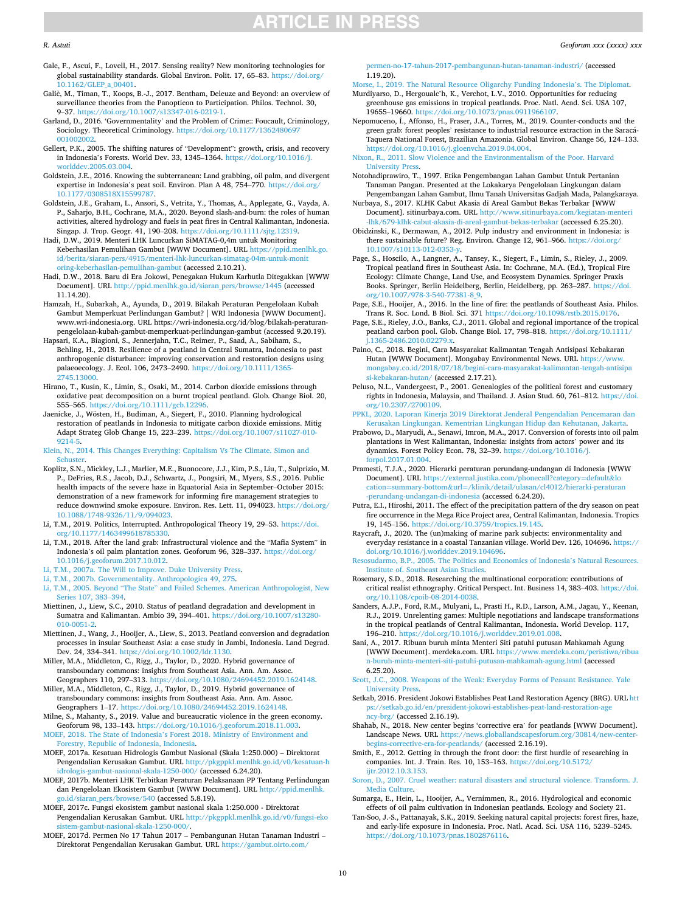<span id="page-9-0"></span>Gale, F., Ascui, F., Lovell, H., 2017. Sensing reality? New monitoring technologies for global sustainability standards. Global Environ. Polit. 17, 65–83. [https://doi.org/](https://doi.org/10.1162/GLEP_a_00401)  [10.1162/GLEP\\_a\\_00401.](https://doi.org/10.1162/GLEP_a_00401)

- Galič, M., Timan, T., Koops, B.-J., 2017. Bentham, Deleuze and Beyond: an overview of surveillance theories from the Panopticon to Participation. Philos. Technol. 30, 9–37. [https://doi.org/10.1007/s13347-016-0219-1.](https://doi.org/10.1007/s13347-016-0219-1)
- Garland, D., 2016. 'Governmentality' and the Problem of Crime:: Foucault, Criminology, Sociology. Theoretical Criminology. [https://doi.org/10.1177/1362480697](https://doi.org/10.1177/1362480697001002002) [001002002.](https://doi.org/10.1177/1362480697001002002)
- Gellert, P.K., 2005. The shifting natures of "Development": growth, crisis, and recovery in Indonesia's Forests. World Dev. 33, 1345–1364. [https://doi.org/10.1016/j.](https://doi.org/10.1016/j.worlddev.2005.03.004)  [worlddev.2005.03.004.](https://doi.org/10.1016/j.worlddev.2005.03.004)
- Goldstein, J.E., 2016. Knowing the subterranean: Land grabbing, oil palm, and divergent expertise in Indonesia's peat soil. Environ. Plan A 48, 754–770. [https://doi.org/](https://doi.org/10.1177/0308518X15599787)  [10.1177/0308518X15599787.](https://doi.org/10.1177/0308518X15599787)
- Goldstein, J.E., Graham, L., Ansori, S., Vetrita, Y., Thomas, A., Applegate, G., Vayda, A. P., Saharjo, B.H., Cochrane, M.A., 2020. Beyond slash-and-burn: the roles of human activities, altered hydrology and fuels in peat fires in Central Kalimantan, Indonesia. Singap. J. Trop. Geogr. 41, 190–208. [https://doi.org/10.1111/sjtg.12319.](https://doi.org/10.1111/sjtg.12319)
- Hadi, D.W., 2019. Menteri LHK Luncurkan SiMATAG-0,4m untuk Monitoring Keberhasilan Pemulihan Gambut [WWW Document]. URL [https://ppid.menlhk.go.](https://ppid.menlhk.go.id/berita/siaran-pers/4915/menteri-lhk-luncurkan-simatag-04m-untuk-monitoring-keberhasilan-pemulihan-gambut) [id/berita/siaran-pers/4915/menteri-lhk-luncurkan-simatag-04m-untuk-monit](https://ppid.menlhk.go.id/berita/siaran-pers/4915/menteri-lhk-luncurkan-simatag-04m-untuk-monitoring-keberhasilan-pemulihan-gambut) [oring-keberhasilan-pemulihan-gambut](https://ppid.menlhk.go.id/berita/siaran-pers/4915/menteri-lhk-luncurkan-simatag-04m-untuk-monitoring-keberhasilan-pemulihan-gambut) (accessed 2.10.21).
- Hadi, D.W., 2018. Baru di Era Jokowi, Penegakan Hukum Karhutla Ditegakkan [WWW Document]. URL [http://ppid.menlhk.go.id/siaran\\_pers/browse/1445](http://ppid.menlhk.go.id/siaran_pers/browse/1445) (accessed 11.14.20).
- Hamzah, H., Subarkah, A., Ayunda, D., 2019. Bilakah Peraturan Pengelolaan Kubah Gambut Memperkuat Perlindungan Gambut? | WRI Indonesia [WWW Document]. www.wri-indonesia.org. URL https://wri-indonesia.org/id/blog/bilakah-peraturanpengelolaan-kubah-gambut-memperkuat-perlindungan-gambut (accessed 9.20.19). Hapsari, K.A., Biagioni, S., Jennerjahn, T.C., Reimer, P., Saad, A., Sabiham, S.,
- Behling, H., 2018. Resilience of a peatland in Central Sumatra, Indonesia to past anthropogenic disturbance: improving conservation and restoration designs using palaeoecology. J. Ecol. 106, 2473–2490. [https://doi.org/10.1111/1365-](https://doi.org/10.1111/1365-2745.13000) [2745.13000.](https://doi.org/10.1111/1365-2745.13000)
- Hirano, T., Kusin, K., Limin, S., Osaki, M., 2014. Carbon dioxide emissions through oxidative peat decomposition on a burnt tropical peatland. Glob. Change Biol. 20, 555–565. [https://doi.org/10.1111/gcb.12296.](https://doi.org/10.1111/gcb.12296)
- Jaenicke, J., Wösten, H., Budiman, A., Siegert, F., 2010. Planning hydrological restoration of peatlands in Indonesia to mitigate carbon dioxide emissions. Mitig Adapt Strateg Glob Change 15, 223–239. [https://doi.org/10.1007/s11027-010-](https://doi.org/10.1007/s11027-010-9214-5)  [9214-5.](https://doi.org/10.1007/s11027-010-9214-5)
- [Klein, N., 2014. This Changes Everything: Capitalism Vs The Climate. Simon and](http://refhub.elsevier.com/S0016-7185(21)00078-6/h0185)  [Schuster](http://refhub.elsevier.com/S0016-7185(21)00078-6/h0185).
- Koplitz, S.N., Mickley, L.J., Marlier, M.E., Buonocore, J.J., Kim, P.S., Liu, T., Sulprizio, M. P., DeFries, R.S., Jacob, D.J., Schwartz, J., Pongsiri, M., Myers, S.S., 2016. Public health impacts of the severe haze in Equatorial Asia in September–October 2015: demonstration of a new framework for informing fire management strategies to reduce downwind smoke exposure. Environ. Res. Lett. 11, 094023. [https://doi.org/](https://doi.org/10.1088/1748-9326/11/9/094023)  [10.1088/1748-9326/11/9/094023](https://doi.org/10.1088/1748-9326/11/9/094023).
- Li, T.M., 2019. Politics, Interrupted. Anthropological Theory 19, 29–53. [https://doi.](https://doi.org/10.1177/1463499618785330)  [org/10.1177/1463499618785330.](https://doi.org/10.1177/1463499618785330)
- Li, T.M., 2018. After the land grab: Infrastructural violence and the "Mafia System" in Indonesia's oil palm plantation zones. Geoforum 96, 328–337. [https://doi.org/](https://doi.org/10.1016/j.geoforum.2017.10.012) [10.1016/j.geoforum.2017.10.012](https://doi.org/10.1016/j.geoforum.2017.10.012).
- [Li, T.M., 2007a. The Will to Improve. Duke University Press](http://refhub.elsevier.com/S0016-7185(21)00078-6/h0205).
- [Li, T.M., 2007b. Governmentality. Anthropologica 49, 275](http://refhub.elsevier.com/S0016-7185(21)00078-6/h0215).
- Li, T.M., 2005. Beyond "The State" [and Failed Schemes. American Anthropologist, New](http://refhub.elsevier.com/S0016-7185(21)00078-6/h0220)  [Series 107, 383](http://refhub.elsevier.com/S0016-7185(21)00078-6/h0220)–394.
- Miettinen, J., Liew, S.C., 2010. Status of peatland degradation and development in Sumatra and Kalimantan. Ambio 39, 394–401. [https://doi.org/10.1007/s13280-](https://doi.org/10.1007/s13280-010-0051-2)  [010-0051-2](https://doi.org/10.1007/s13280-010-0051-2).
- Miettinen, J., Wang, J., Hooijer, A., Liew, S., 2013. Peatland conversion and degradation processes in insular Southeast Asia: a case study in Jambi, Indonesia. Land Degrad. Dev. 24, 334–341. <https://doi.org/10.1002/ldr.1130>.
- Miller, M.A., Middleton, C., Rigg, J., Taylor, D., 2020. Hybrid governance of transboundary commons: insights from Southeast Asia. Ann. Am. Assoc. Geographers 110, 297–313. <https://doi.org/10.1080/24694452.2019.1624148>.
- Miller, M.A., Middleton, C., Rigg, J., Taylor, D., 2019. Hybrid governance of transboundary commons: insights from Southeast Asia. Ann. Am. Assoc. Geographers 1–17. [https://doi.org/10.1080/24694452.2019.1624148.](https://doi.org/10.1080/24694452.2019.1624148)
- Milne, S., Mahanty, S., 2019. Value and bureaucratic violence in the green economy. Geoforum 98, 133–143. [https://doi.org/10.1016/j.geoforum.2018.11.003.](https://doi.org/10.1016/j.geoforum.2018.11.003)
- MOEF, 2018. The State of Indonesia'[s Forest 2018. Ministry of Environment and](http://refhub.elsevier.com/S0016-7185(21)00078-6/h0250)  [Forestry, Republic of Indonesia, Indonesia.](http://refhub.elsevier.com/S0016-7185(21)00078-6/h0250)
- MOEF, 2017a. Kesatuan Hidrologis Gambut Nasional (Skala 1:250.000) Direktorat Pengendalian Kerusakan Gambut. URL [http://pkgppkl.menlhk.go.id/v0/kesatuan-h](http://pkgppkl.menlhk.go.id/v0/kesatuan-hidrologis-gambut-nasional-skala-1250-000/)  [idrologis-gambut-nasional-skala-1250-000/](http://pkgppkl.menlhk.go.id/v0/kesatuan-hidrologis-gambut-nasional-skala-1250-000/) (accessed 6.24.20).
- MOEF, 2017b. Menteri LHK Terbitkan Peraturan Pelaksanaan PP Tentang Perlindungan dan Pengelolaan Ekosistem Gambut [WWW Document]. URL http://ppid.menlh [go.id/siaran\\_pers/browse/540](http://ppid.menlhk.go.id/siaran_pers/browse/540) (accessed 5.8.19).
- MOEF, 2017c. Fungsi ekosistem gambut nasional skala 1:250.000 Direktorat Pengendalian Kerusakan Gambut. URL [http://pkgppkl.menlhk.go.id/v0/fungsi-eko](http://pkgppkl.menlhk.go.id/v0/fungsi-ekosistem-gambut-nasional-skala-1250-000/) [sistem-gambut-nasional-skala-1250-000/.](http://pkgppkl.menlhk.go.id/v0/fungsi-ekosistem-gambut-nasional-skala-1250-000/)
- MOEF, 2017d. Permen No 17 Tahun 2017 Pembangunan Hutan Tanaman Industri Direktorat Pengendalian Kerusakan Gambut. URL [https://gambut.oirto.com/](https://gambut.oirto.com/permen-no-17-tahun-2017-pembangunan-hutan-tanaman-industri/)

en-no-17-tahun-2017-pembangunan-hutan-tanaman-industri/ (accessed 1.19.20).

[Morse, I., 2019. The Natural Resource Oligarchy Funding Indonesia](http://refhub.elsevier.com/S0016-7185(21)00078-6/h0275)'s. The Diplomat.

- Murdiyarso, D., Hergoualc'h, K., Verchot, L.V., 2010. Opportunities for reducing greenhouse gas emissions in tropical peatlands. Proc. Natl. Acad. Sci. USA 107, 19655–19660. [https://doi.org/10.1073/pnas.0911966107.](https://doi.org/10.1073/pnas.0911966107)
- Nepomuceno, Í., Affonso, H., Fraser, J.A., Torres, M., 2019. Counter-conducts and the green grab: forest peoples' resistance to industrial resource extraction in the Saracá-Taquera National Forest, Brazilian Amazonia. Global Environ. Change 56, 124–133. <https://doi.org/10.1016/j.gloenvcha.2019.04.004>.

[Nixon, R., 2011. Slow Violence and the Environmentalism of the Poor. Harvard](http://refhub.elsevier.com/S0016-7185(21)00078-6/h0290) [University Press](http://refhub.elsevier.com/S0016-7185(21)00078-6/h0290).

- Notohadiprawiro, T., 1997. Etika Pengembangan Lahan Gambut Untuk Pertanian Tanaman Pangan. Presented at the Lokakarya Pengelolaan Lingkungan dalam Pengembangan Lahan Gambut, Ilmu Tanah Universitas Gadjah Mada, Palangkaraya.
- Nurbaya, S., 2017. KLHK Cabut Akasia di Areal Gambut Bekas Terbakar [WWW Document]. sitinurbaya.com. URL http://www.sitinurbaya.com/kegiatan-me [-lhk/679-klhk-cabut-akasia-di-areal-gambut-bekas-terbakar](http://www.sitinurbaya.com/kegiatan-menteri-lhk/679-klhk-cabut-akasia-di-areal-gambut-bekas-terbakar) (accessed 6.25.20).
- Obidzinski, K., Dermawan, A., 2012. Pulp industry and environment in Indonesia: is there sustainable future? Reg. Environ. Change 12, 961–966. [https://doi.org/](https://doi.org/10.1007/s10113-012-0353-y)  [10.1007/s10113-012-0353-y](https://doi.org/10.1007/s10113-012-0353-y).
- Page, S., Hoscilo, A., Langner, A., Tansey, K., Siegert, F., Limin, S., Rieley, J., 2009. Tropical peatland fires in Southeast Asia. In: Cochrane, M.A. (Ed.), Tropical Fire Ecology: Climate Change, Land Use, and Ecosystem Dynamics. Springer Praxis Books. Springer, Berlin Heidelberg, Berlin, Heidelberg, pp. 263–287. [https://doi.](https://doi.org/10.1007/978-3-540-77381-8_9) [org/10.1007/978-3-540-77381-8\\_9.](https://doi.org/10.1007/978-3-540-77381-8_9)
- Page, S.E., Hooijer, A., 2016. In the line of fire: the peatlands of Southeast Asia. Philos. Trans R. Soc. Lond. B Biol. Sci. 371 [https://doi.org/10.1098/rstb.2015.0176.](https://doi.org/10.1098/rstb.2015.0176)
- Page, S.E., Rieley, J.O., Banks, C.J., 2011. Global and regional importance of the tropical peatland carbon pool. Glob. Change Biol. 17, 798–818. [https://doi.org/10.1111/](https://doi.org/10.1111/j.1365-2486.2010.02279.x)  [j.1365-2486.2010.02279.x.](https://doi.org/10.1111/j.1365-2486.2010.02279.x)
- Paino, C., 2018. Begini, Cara Masyarakat Kalimantan Tengah Antisipasi Kebakaran Hutan [WWW Document]. Mongabay Environmental News. URL [https://www.](https://www.mongabay.co.id/2018/07/18/begini-cara-masyarakat-kalimantan-tengah-antisipasi-kebakaran-hutan/)  [mongabay.co.id/2018/07/18/begini-cara-masyarakat-kalimantan-tengah-antisipa](https://www.mongabay.co.id/2018/07/18/begini-cara-masyarakat-kalimantan-tengah-antisipasi-kebakaran-hutan/)  [si-kebakaran-hutan/](https://www.mongabay.co.id/2018/07/18/begini-cara-masyarakat-kalimantan-tengah-antisipasi-kebakaran-hutan/) (accessed 2.17.21).
- Peluso, N.L., Vandergeest, P., 2001. Genealogies of the political forest and customary rights in Indonesia, Malaysia, and Thailand. J. Asian Stud. 60, 761–812. [https://doi.](https://doi.org/10.2307/2700109)  [org/10.2307/2700109.](https://doi.org/10.2307/2700109)
- [PPKL, 2020. Laporan Kinerja 2019 Direktorat Jenderal Pengendalian Pencemaran dan](http://refhub.elsevier.com/S0016-7185(21)00078-6/h0335) [Kerusakan Lingkungan. Kementrian Lingkungan Hidup dan Kehutanan, Jakarta.](http://refhub.elsevier.com/S0016-7185(21)00078-6/h0335)
- Prabowo, D., Maryudi, A., Senawi, Imron, M.A., 2017. Conversion of forests into oil palm plantations in West Kalimantan, Indonesia: insights from actors' power and its dynamics. Forest Policy Econ. 78, 32–39. [https://doi.org/10.1016/j.](https://doi.org/10.1016/j.forpol.2017.01.004)  [forpol.2017.01.004](https://doi.org/10.1016/j.forpol.2017.01.004).
- Pramesti, T.J.A., 2020. Hierarki peraturan perundang-undangan di Indonesia [WWW Document]. URL [https://external.justika.com/phonecall?category](https://external.justika.com/phonecall%3fcategory%3ddefault%26location%3dsummary-bottom%26url%3d/klinik/detail/ulasan/cl4012/hierarki-peraturan-perundang-undangan-di-indonesia)=default&lo cation=summary-bottom&url=[/klinik/detail/ulasan/cl4012/hierarki-peraturan](https://external.justika.com/phonecall%3fcategory%3ddefault%26location%3dsummary-bottom%26url%3d/klinik/detail/ulasan/cl4012/hierarki-peraturan-perundang-undangan-di-indonesia) [-perundang-undangan-di-indonesia](https://external.justika.com/phonecall%3fcategory%3ddefault%26location%3dsummary-bottom%26url%3d/klinik/detail/ulasan/cl4012/hierarki-peraturan-perundang-undangan-di-indonesia) (accessed 6.24.20).
- Putra, E.I., Hiroshi, 2011. The effect of the precipitation pattern of the dry season on peat fire occurrence in the Mega Rice Project area, Central Kalimantan, Indonesia. Tropics 19, 145–156. [https://doi.org/10.3759/tropics.19.145.](https://doi.org/10.3759/tropics.19.145)
- Raycraft, J., 2020. The (un)making of marine park subjects: environmentality and everyday resistance in a coastal Tanzanian village. World Dev. 126, 104696. [https://](https://doi.org/10.1016/j.worlddev.2019.104696)  [doi.org/10.1016/j.worlddev.2019.104696.](https://doi.org/10.1016/j.worlddev.2019.104696)
- [Resosudarmo, B.P., 2005. The Politics and Economics of Indonesia](http://refhub.elsevier.com/S0016-7185(21)00078-6/h0360)'s Natural Resources. [Institute of. Southeast Asian Studies](http://refhub.elsevier.com/S0016-7185(21)00078-6/h0360).
- Rosemary, S.D., 2018. Researching the multinational corporation: contributions of critical realist ethnography. Critical Perspect. Int. Business 14, 383–403. [https://doi.](https://doi.org/10.1108/cpoib-08-2014-0038)  [org/10.1108/cpoib-08-2014-0038.](https://doi.org/10.1108/cpoib-08-2014-0038)
- Sanders, A.J.P., Ford, R.M., Mulyani, L., Prasti H., R.D., Larson, A.M., Jagau, Y., Keenan, R.J., 2019. Unrelenting games: Multiple negotiations and landscape transformations in the tropical peatlands of Central Kalimantan, Indonesia. World Develop. 117, 196–210. [https://doi.org/10.1016/j.worlddev.2019.01.008.](https://doi.org/10.1016/j.worlddev.2019.01.008)
- Sani, A., 2017. Ribuan buruh minta Menteri Siti patuhi putusan Mahkamah Agung [WWW Document]. merdeka.com. URL https://www.merdeka.com/peristiwa [n-buruh-minta-menteri-siti-patuhi-putusan-mahkamah-agung.html](https://www.merdeka.com/peristiwa/ribuan-buruh-minta-menteri-siti-patuhi-putusan-mahkamah-agung.html) (accessed 6.25.20).
- [Scott, J.C., 2008. Weapons of the Weak: Everyday Forms of Peasant Resistance. Yale](http://refhub.elsevier.com/S0016-7185(21)00078-6/h0385) [University Press](http://refhub.elsevier.com/S0016-7185(21)00078-6/h0385).
- Setkab, 2016. President Jokowi Establishes Peat Land Restoration Agency (BRG). URL [htt](https://setkab.go.id/en/president-jokowi-establishes-peat-land-restoration-agency-brg/)  [ps://setkab.go.id/en/president-jokowi-establishes-peat-land-restoration-age](https://setkab.go.id/en/president-jokowi-establishes-peat-land-restoration-agency-brg/) [ncy-brg/](https://setkab.go.id/en/president-jokowi-establishes-peat-land-restoration-agency-brg/) (accessed 2.16.19).
- Shahab, N., 2018. New center begins 'corrective era' for peatlands [WWW Document]. Landscape News. URL [https://news.globallandscapesforum.org/30814/new-center](https://news.globallandscapesforum.org/30814/new-center-begins-corrective-era-for-peatlands/)[begins-corrective-era-for-peatlands/](https://news.globallandscapesforum.org/30814/new-center-begins-corrective-era-for-peatlands/) (accessed 2.16.19).
- Smith, E., 2012. Getting in through the front door: the first hurdle of researching in companies. Int. J. Train. Res. 10, 153–163. [https://doi.org/10.5172/](https://doi.org/10.5172/ijtr.2012.10.3.153) [ijtr.2012.10.3.153](https://doi.org/10.5172/ijtr.2012.10.3.153).
- [Soron, D., 2007. Cruel weather: natural disasters and structural violence. Transform. J.](http://refhub.elsevier.com/S0016-7185(21)00078-6/h0405) [Media Culture](http://refhub.elsevier.com/S0016-7185(21)00078-6/h0405).
- Sumarga, E., Hein, L., Hooijer, A., Vernimmen, R., 2016. Hydrological and economic effects of oil palm cultivation in Indonesian peatlands. Ecology and Society 21.
- Tan-Soo, J.-S., Pattanayak, S.K., 2019. Seeking natural capital projects: forest fires, haze, and early-life exposure in Indonesia. Proc. Natl. Acad. Sci. USA 116, 5239–5245. [https://doi.org/10.1073/pnas.1802876116.](https://doi.org/10.1073/pnas.1802876116)